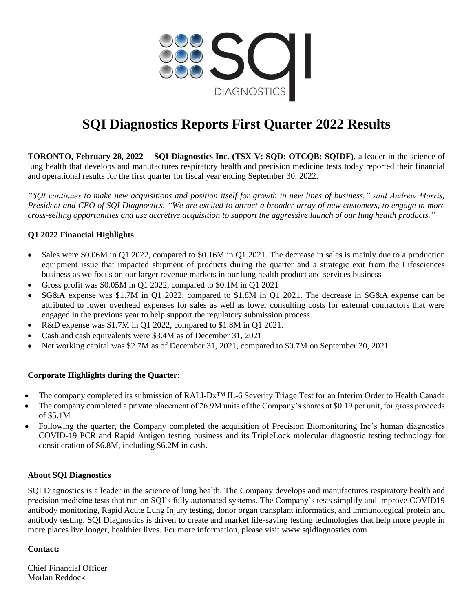

# **SQI Diagnostics Reports First Quarter 2022 Results**

**TORONTO, February 28, 2022 -- SQI Diagnostics Inc. (TSX-V: SQD; OTCQB: SQIDF)**, a leader in the science of lung health that develops and manufactures respiratory health and precision medicine tests today reported their financial and operational results for the first quarter for fiscal year ending September 30, 2022.

*"SQI continues to make new acquisitions and position itself for growth in new lines of business," said Andrew Morris, President and CEO of SQI Diagnostics. "We are excited to attract a broader array of new customers, to engage in more cross-selling opportunities and use accretive acquisition to support the aggressive launch of our lung health products."* 

## **Q1 2022 Financial Highlights**

- Sales were \$0.06M in Q1 2022, compared to \$0.16M in Q1 2021. The decrease in sales is mainly due to a production equipment issue that impacted shipment of products during the quarter and a strategic exit from the Lifesciences business as we focus on our larger revenue markets in our lung health product and services business
- Gross profit was \$0.05M in Q1 2022, compared to \$0.1M in Q1 2021
- SG&A expense was \$1.7M in Q1 2022, compared to \$1.8M in Q1 2021. The decrease in SG&A expense can be attributed to lower overhead expenses for sales as well as lower consulting costs for external contractors that were engaged in the previous year to help support the regulatory submission process.
- R&D expense was \$1.7M in Q1 2022, compared to \$1.8M in Q1 2021.
- Cash and cash equivalents were \$3.4M as of December 31, 2021
- Net working capital was \$2.7M as of December 31, 2021, compared to \$0.7M on September 30, 2021

### **Corporate Highlights during the Quarter:**

- The company completed its submission of RALI-Dx<sup>™</sup> IL-6 Severity Triage Test for an Interim Order to Health Canada
- The company completed a private placement of 26.9M units of the Company's shares at \$0.19 per unit, for gross proceeds of \$5.1M
- Following the quarter, the Company completed the acquisition of Precision Biomonitoring Inc's human diagnostics COVID-19 PCR and Rapid Antigen testing business and its TripleLock molecular diagnostic testing technology for consideration of \$6.8M, including \$6.2M in cash.

### **About SQI Diagnostics**

SQI Diagnostics is a leader in the science of lung health. The Company develops and manufactures respiratory health and precision medicine tests that run on SQI's fully automated systems. The Company's tests simplify and improve COVID19 antibody monitoring, Rapid Acute Lung Injury testing, donor organ transplant informatics, and immunological protein and antibody testing. SQI Diagnostics is driven to create and market life-saving testing technologies that help more people in more places live longer, healthier lives. For more information, please visit www.sqidiagnostics.com.

### **Contact:**

Chief Financial Officer Morlan Reddock